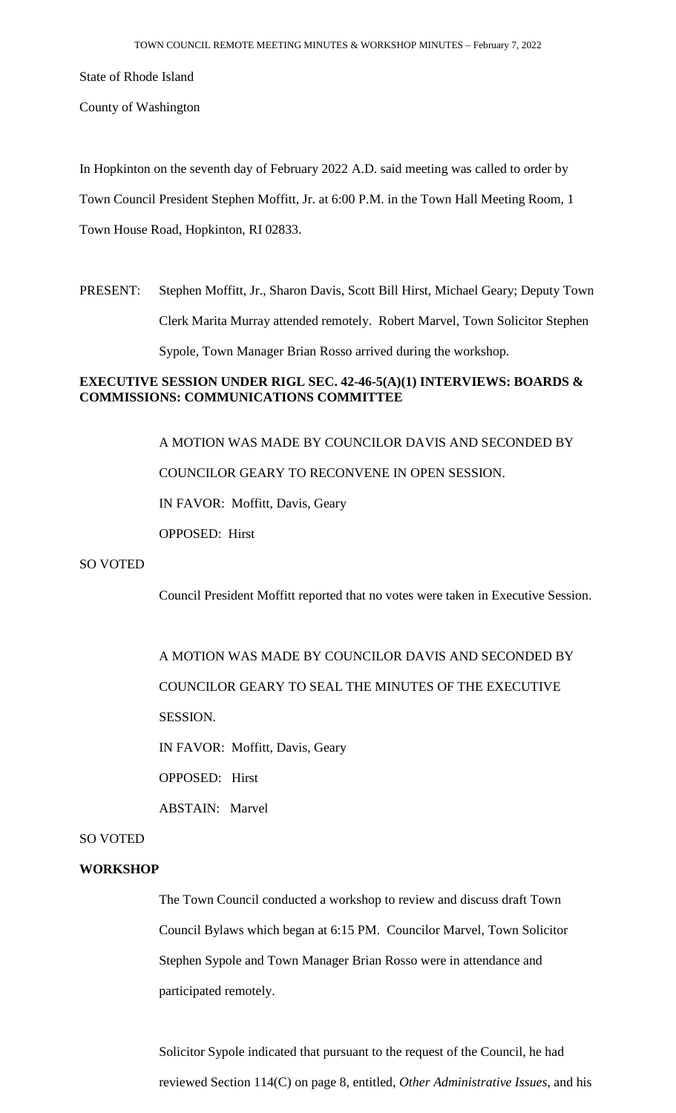State of Rhode Island

County of Washington

In Hopkinton on the seventh day of February 2022 A.D. said meeting was called to order by Town Council President Stephen Moffitt, Jr. at 6:00 P.M. in the Town Hall Meeting Room, 1 Town House Road, Hopkinton, RI 02833.

PRESENT: Stephen Moffitt, Jr., Sharon Davis, Scott Bill Hirst, Michael Geary; Deputy Town Clerk Marita Murray attended remotely. Robert Marvel, Town Solicitor Stephen Sypole, Town Manager Brian Rosso arrived during the workshop.

## **EXECUTIVE SESSION UNDER RIGL SEC. 42-46-5(A)(1) INTERVIEWS: BOARDS & COMMISSIONS: COMMUNICATIONS COMMITTEE**

A MOTION WAS MADE BY COUNCILOR DAVIS AND SECONDED BY COUNCILOR GEARY TO RECONVENE IN OPEN SESSION. IN FAVOR: Moffitt, Davis, Geary OPPOSED: Hirst

#### SO VOTED

Council President Moffitt reported that no votes were taken in Executive Session.

A MOTION WAS MADE BY COUNCILOR DAVIS AND SECONDED BY COUNCILOR GEARY TO SEAL THE MINUTES OF THE EXECUTIVE SESSION. IN FAVOR: Moffitt, Davis, Geary

OPPOSED: Hirst

ABSTAIN: Marvel

## SO VOTED

## **WORKSHOP**

The Town Council conducted a workshop to review and discuss draft Town Council Bylaws which began at 6:15 PM. Councilor Marvel, Town Solicitor Stephen Sypole and Town Manager Brian Rosso were in attendance and participated remotely.

Solicitor Sypole indicated that pursuant to the request of the Council, he had reviewed Section 114(C) on page 8, entitled, *Other Administrative Issues,* and his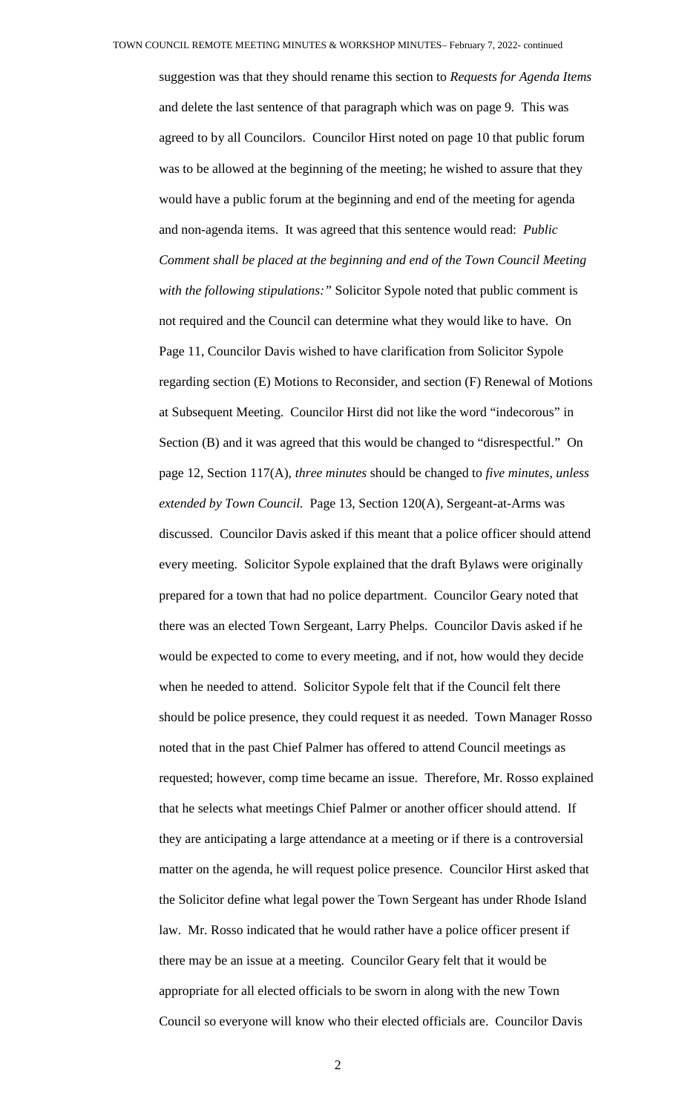suggestion was that they should rename this section to *Requests for Agenda Items*  and delete the last sentence of that paragraph which was on page 9*.* This was agreed to by all Councilors. Councilor Hirst noted on page 10 that public forum was to be allowed at the beginning of the meeting; he wished to assure that they would have a public forum at the beginning and end of the meeting for agenda and non-agenda items. It was agreed that this sentence would read: *Public Comment shall be placed at the beginning and end of the Town Council Meeting with the following stipulations:"* Solicitor Sypole noted that public comment is not required and the Council can determine what they would like to have. On Page 11, Councilor Davis wished to have clarification from Solicitor Sypole regarding section (E) Motions to Reconsider, and section (F) Renewal of Motions at Subsequent Meeting. Councilor Hirst did not like the word "indecorous" in Section (B) and it was agreed that this would be changed to "disrespectful." On page 12, Section 117(A), *three minutes* should be changed to *five minutes, unless extended by Town Council.* Page 13, Section 120(A), Sergeant-at-Arms was discussed. Councilor Davis asked if this meant that a police officer should attend every meeting. Solicitor Sypole explained that the draft Bylaws were originally prepared for a town that had no police department. Councilor Geary noted that there was an elected Town Sergeant, Larry Phelps. Councilor Davis asked if he would be expected to come to every meeting, and if not, how would they decide when he needed to attend. Solicitor Sypole felt that if the Council felt there should be police presence, they could request it as needed. Town Manager Rosso noted that in the past Chief Palmer has offered to attend Council meetings as requested; however, comp time became an issue. Therefore, Mr. Rosso explained that he selects what meetings Chief Palmer or another officer should attend. If they are anticipating a large attendance at a meeting or if there is a controversial matter on the agenda, he will request police presence. Councilor Hirst asked that the Solicitor define what legal power the Town Sergeant has under Rhode Island law. Mr. Rosso indicated that he would rather have a police officer present if there may be an issue at a meeting. Councilor Geary felt that it would be appropriate for all elected officials to be sworn in along with the new Town Council so everyone will know who their elected officials are. Councilor Davis

2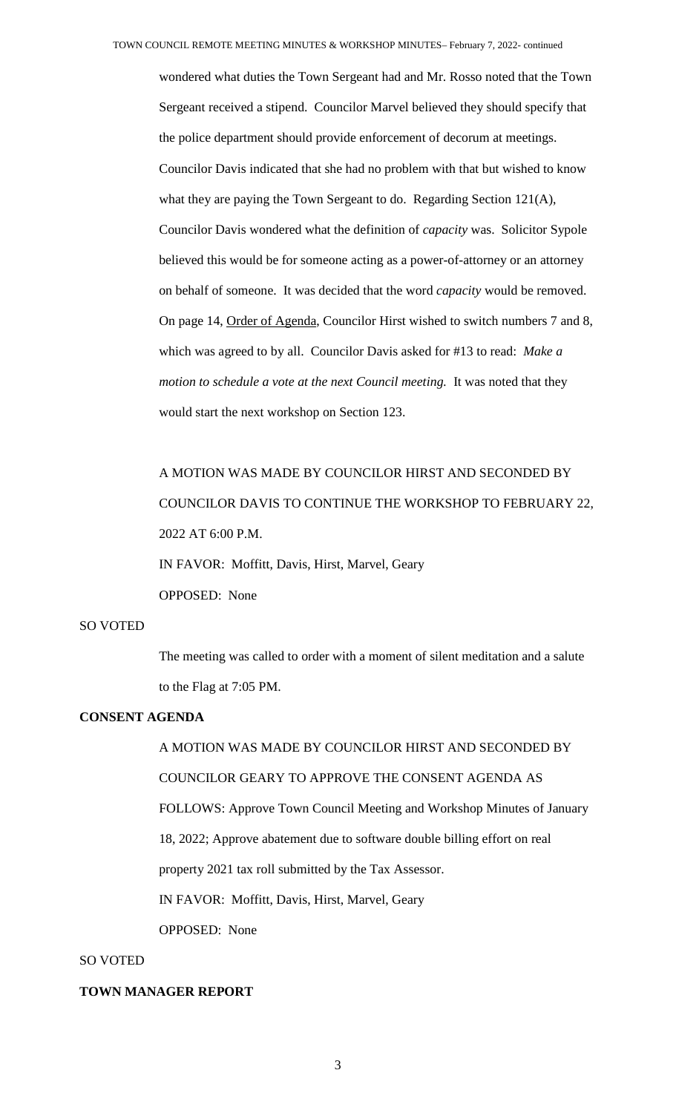wondered what duties the Town Sergeant had and Mr. Rosso noted that the Town Sergeant received a stipend. Councilor Marvel believed they should specify that the police department should provide enforcement of decorum at meetings. Councilor Davis indicated that she had no problem with that but wished to know what they are paying the Town Sergeant to do. Regarding Section 121(A), Councilor Davis wondered what the definition of *capacity* was. Solicitor Sypole believed this would be for someone acting as a power-of-attorney or an attorney on behalf of someone. It was decided that the word *capacity* would be removed. On page 14, Order of Agenda, Councilor Hirst wished to switch numbers 7 and 8, which was agreed to by all. Councilor Davis asked for #13 to read: *Make a motion to schedule a vote at the next Council meeting.* It was noted that they would start the next workshop on Section 123.

A MOTION WAS MADE BY COUNCILOR HIRST AND SECONDED BY COUNCILOR DAVIS TO CONTINUE THE WORKSHOP TO FEBRUARY 22, 2022 AT 6:00 P.M. IN FAVOR: Moffitt, Davis, Hirst, Marvel, Geary

OPPOSED: None

#### SO VOTED

The meeting was called to order with a moment of silent meditation and a salute to the Flag at 7:05 PM.

#### **CONSENT AGENDA**

A MOTION WAS MADE BY COUNCILOR HIRST AND SECONDED BY COUNCILOR GEARY TO APPROVE THE CONSENT AGENDA AS FOLLOWS: Approve Town Council Meeting and Workshop Minutes of January 18, 2022; Approve abatement due to software double billing effort on real property 2021 tax roll submitted by the Tax Assessor. IN FAVOR: Moffitt, Davis, Hirst, Marvel, Geary OPPOSED: None

## SO VOTED

## **TOWN MANAGER REPORT**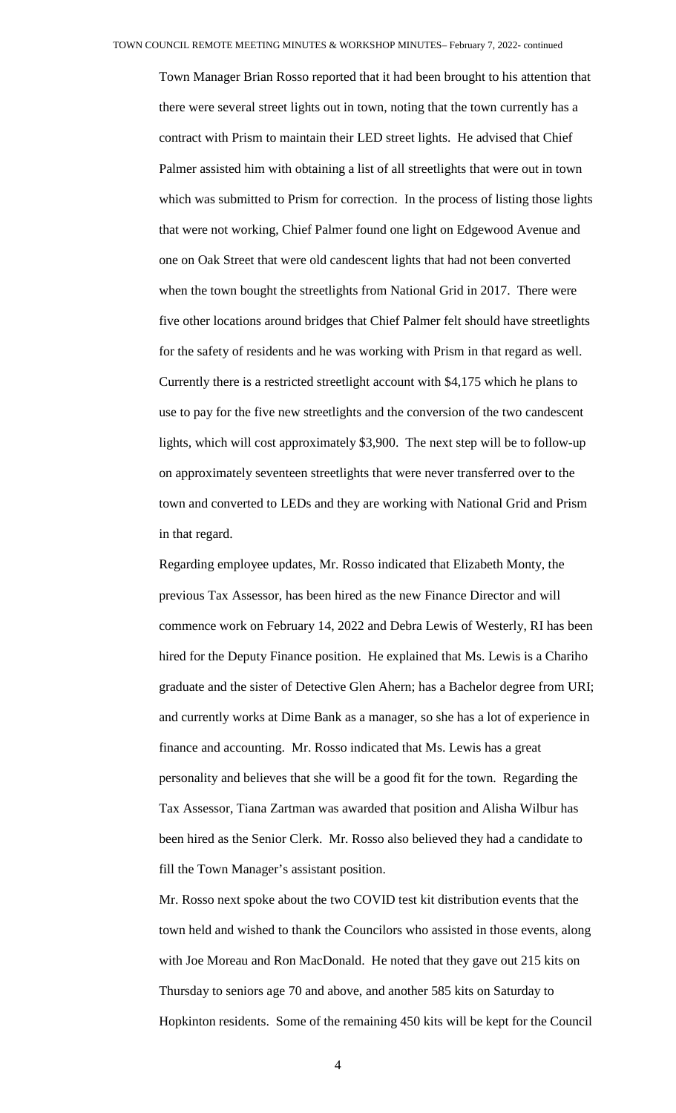Town Manager Brian Rosso reported that it had been brought to his attention that there were several street lights out in town, noting that the town currently has a contract with Prism to maintain their LED street lights. He advised that Chief Palmer assisted him with obtaining a list of all streetlights that were out in town which was submitted to Prism for correction. In the process of listing those lights that were not working, Chief Palmer found one light on Edgewood Avenue and one on Oak Street that were old candescent lights that had not been converted when the town bought the streetlights from National Grid in 2017. There were five other locations around bridges that Chief Palmer felt should have streetlights for the safety of residents and he was working with Prism in that regard as well. Currently there is a restricted streetlight account with \$4,175 which he plans to use to pay for the five new streetlights and the conversion of the two candescent lights, which will cost approximately \$3,900. The next step will be to follow-up on approximately seventeen streetlights that were never transferred over to the town and converted to LEDs and they are working with National Grid and Prism in that regard.

Regarding employee updates, Mr. Rosso indicated that Elizabeth Monty, the previous Tax Assessor, has been hired as the new Finance Director and will commence work on February 14, 2022 and Debra Lewis of Westerly, RI has been hired for the Deputy Finance position. He explained that Ms. Lewis is a Chariho graduate and the sister of Detective Glen Ahern; has a Bachelor degree from URI; and currently works at Dime Bank as a manager, so she has a lot of experience in finance and accounting. Mr. Rosso indicated that Ms. Lewis has a great personality and believes that she will be a good fit for the town. Regarding the Tax Assessor, Tiana Zartman was awarded that position and Alisha Wilbur has been hired as the Senior Clerk. Mr. Rosso also believed they had a candidate to fill the Town Manager's assistant position.

Mr. Rosso next spoke about the two COVID test kit distribution events that the town held and wished to thank the Councilors who assisted in those events, along with Joe Moreau and Ron MacDonald. He noted that they gave out 215 kits on Thursday to seniors age 70 and above, and another 585 kits on Saturday to Hopkinton residents. Some of the remaining 450 kits will be kept for the Council

4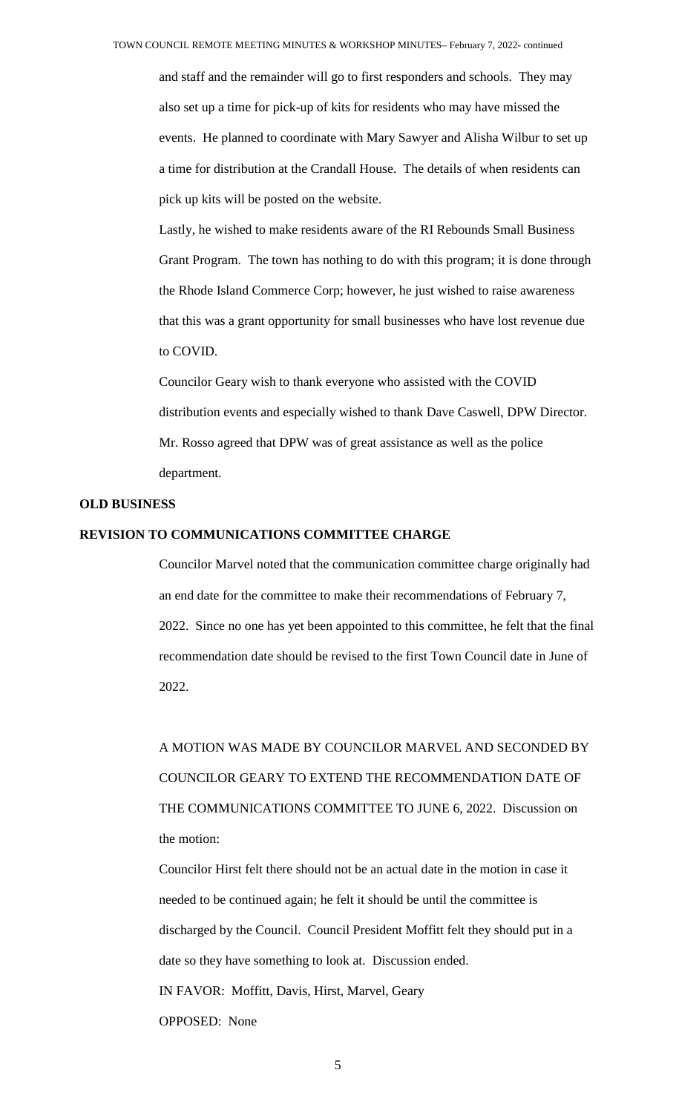and staff and the remainder will go to first responders and schools. They may also set up a time for pick-up of kits for residents who may have missed the events. He planned to coordinate with Mary Sawyer and Alisha Wilbur to set up a time for distribution at the Crandall House. The details of when residents can pick up kits will be posted on the website.

Lastly, he wished to make residents aware of the RI Rebounds Small Business Grant Program. The town has nothing to do with this program; it is done through the Rhode Island Commerce Corp; however, he just wished to raise awareness that this was a grant opportunity for small businesses who have lost revenue due to COVID.

Councilor Geary wish to thank everyone who assisted with the COVID distribution events and especially wished to thank Dave Caswell, DPW Director. Mr. Rosso agreed that DPW was of great assistance as well as the police department.

#### **OLD BUSINESS**

#### **REVISION TO COMMUNICATIONS COMMITTEE CHARGE**

Councilor Marvel noted that the communication committee charge originally had an end date for the committee to make their recommendations of February 7, 2022. Since no one has yet been appointed to this committee, he felt that the final recommendation date should be revised to the first Town Council date in June of 2022.

A MOTION WAS MADE BY COUNCILOR MARVEL AND SECONDED BY COUNCILOR GEARY TO EXTEND THE RECOMMENDATION DATE OF THE COMMUNICATIONS COMMITTEE TO JUNE 6, 2022. Discussion on the motion:

Councilor Hirst felt there should not be an actual date in the motion in case it needed to be continued again; he felt it should be until the committee is discharged by the Council. Council President Moffitt felt they should put in a date so they have something to look at. Discussion ended. IN FAVOR: Moffitt, Davis, Hirst, Marvel, Geary OPPOSED: None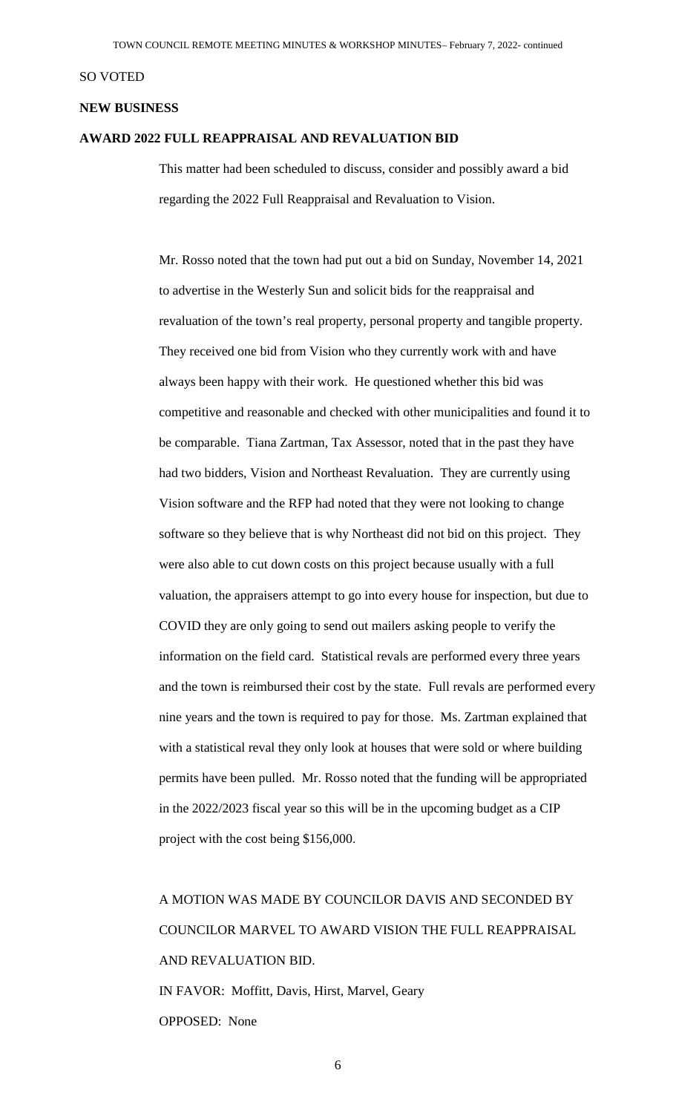#### SO VOTED

#### **NEW BUSINESS**

#### **AWARD 2022 FULL REAPPRAISAL AND REVALUATION BID**

This matter had been scheduled to discuss, consider and possibly award a bid regarding the 2022 Full Reappraisal and Revaluation to Vision.

Mr. Rosso noted that the town had put out a bid on Sunday, November 14, 2021 to advertise in the Westerly Sun and solicit bids for the reappraisal and revaluation of the town's real property, personal property and tangible property. They received one bid from Vision who they currently work with and have always been happy with their work. He questioned whether this bid was competitive and reasonable and checked with other municipalities and found it to be comparable. Tiana Zartman, Tax Assessor, noted that in the past they have had two bidders, Vision and Northeast Revaluation. They are currently using Vision software and the RFP had noted that they were not looking to change software so they believe that is why Northeast did not bid on this project. They were also able to cut down costs on this project because usually with a full valuation, the appraisers attempt to go into every house for inspection, but due to COVID they are only going to send out mailers asking people to verify the information on the field card. Statistical revals are performed every three years and the town is reimbursed their cost by the state. Full revals are performed every nine years and the town is required to pay for those. Ms. Zartman explained that with a statistical reval they only look at houses that were sold or where building permits have been pulled. Mr. Rosso noted that the funding will be appropriated in the 2022/2023 fiscal year so this will be in the upcoming budget as a CIP project with the cost being \$156,000.

A MOTION WAS MADE BY COUNCILOR DAVIS AND SECONDED BY COUNCILOR MARVEL TO AWARD VISION THE FULL REAPPRAISAL AND REVALUATION BID. IN FAVOR: Moffitt, Davis, Hirst, Marvel, Geary OPPOSED: None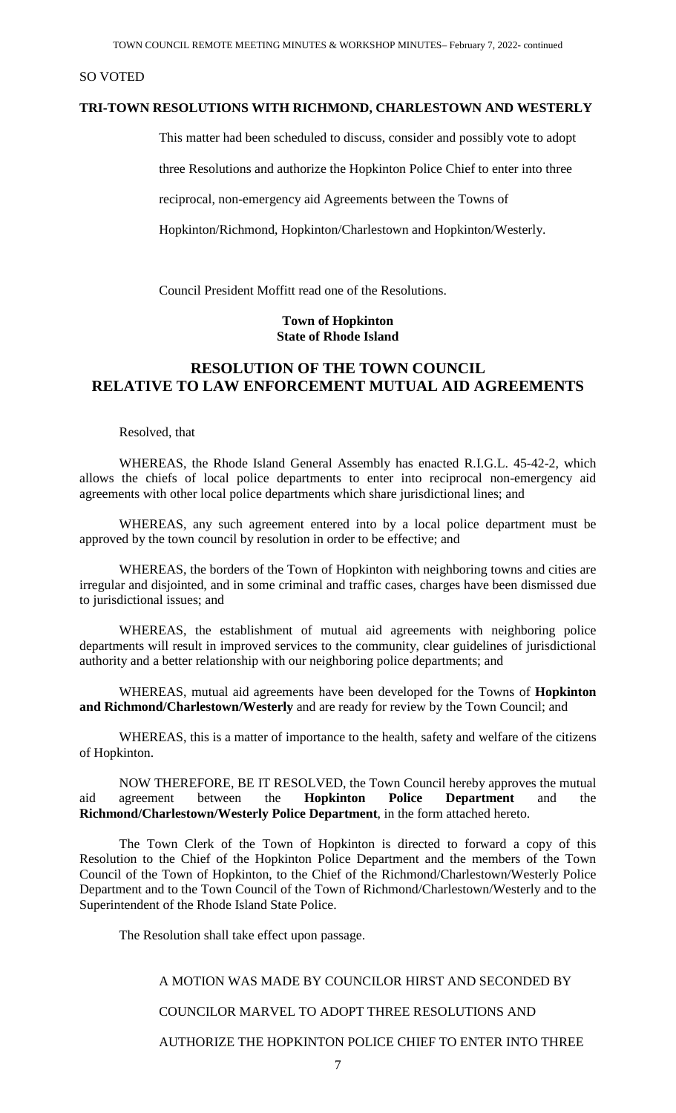#### SO VOTED

#### **TRI-TOWN RESOLUTIONS WITH RICHMOND, CHARLESTOWN AND WESTERLY**

This matter had been scheduled to discuss, consider and possibly vote to adopt

three Resolutions and authorize the Hopkinton Police Chief to enter into three

reciprocal, non-emergency aid Agreements between the Towns of

Hopkinton/Richmond, Hopkinton/Charlestown and Hopkinton/Westerly.

Council President Moffitt read one of the Resolutions.

#### **Town of Hopkinton State of Rhode Island**

# **RESOLUTION OF THE TOWN COUNCIL RELATIVE TO LAW ENFORCEMENT MUTUAL AID AGREEMENTS**

#### Resolved, that

WHEREAS, the Rhode Island General Assembly has enacted R.I.G.L. 45-42-2, which allows the chiefs of local police departments to enter into reciprocal non-emergency aid agreements with other local police departments which share jurisdictional lines; and

WHEREAS, any such agreement entered into by a local police department must be approved by the town council by resolution in order to be effective; and

WHEREAS, the borders of the Town of Hopkinton with neighboring towns and cities are irregular and disjointed, and in some criminal and traffic cases, charges have been dismissed due to jurisdictional issues; and

WHEREAS, the establishment of mutual aid agreements with neighboring police departments will result in improved services to the community, clear guidelines of jurisdictional authority and a better relationship with our neighboring police departments; and

WHEREAS, mutual aid agreements have been developed for the Towns of **Hopkinton and Richmond/Charlestown/Westerly** and are ready for review by the Town Council; and

WHEREAS, this is a matter of importance to the health, safety and welfare of the citizens of Hopkinton.

NOW THEREFORE, BE IT RESOLVED, the Town Council hereby approves the mutual aid agreement between the **Hopkinton Police Department** and the **Richmond/Charlestown/Westerly Police Department**, in the form attached hereto.

The Town Clerk of the Town of Hopkinton is directed to forward a copy of this Resolution to the Chief of the Hopkinton Police Department and the members of the Town Council of the Town of Hopkinton, to the Chief of the Richmond/Charlestown/Westerly Police Department and to the Town Council of the Town of Richmond/Charlestown/Westerly and to the Superintendent of the Rhode Island State Police.

The Resolution shall take effect upon passage.

#### A MOTION WAS MADE BY COUNCILOR HIRST AND SECONDED BY

#### COUNCILOR MARVEL TO ADOPT THREE RESOLUTIONS AND

#### AUTHORIZE THE HOPKINTON POLICE CHIEF TO ENTER INTO THREE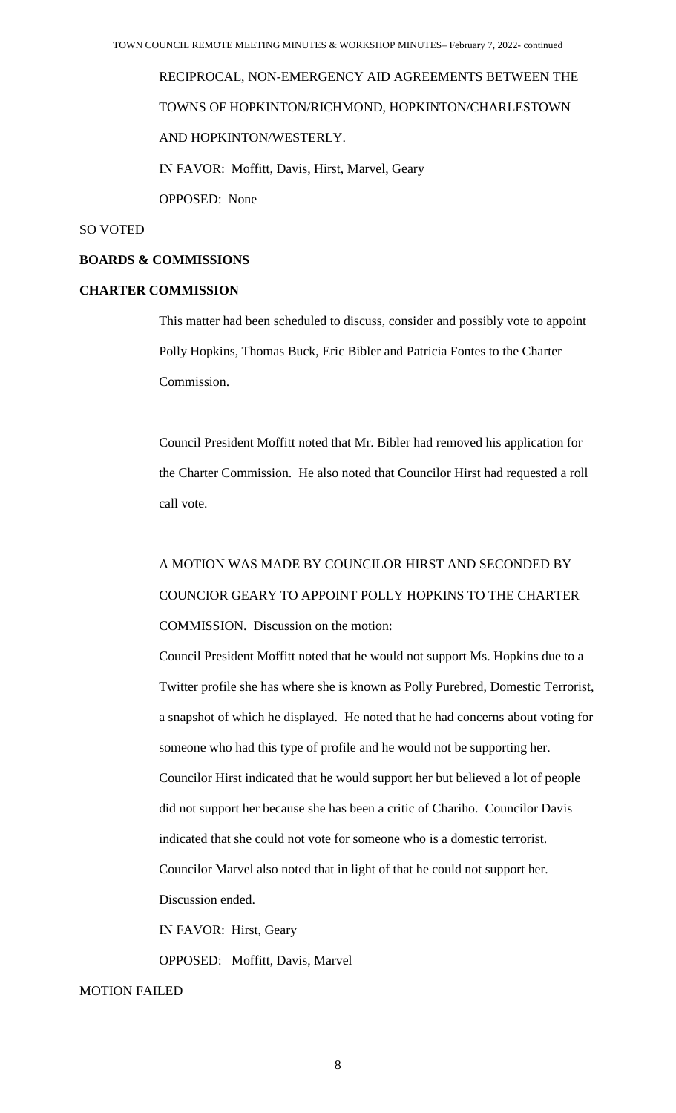RECIPROCAL, NON-EMERGENCY AID AGREEMENTS BETWEEN THE TOWNS OF HOPKINTON/RICHMOND, HOPKINTON/CHARLESTOWN AND HOPKINTON/WESTERLY. IN FAVOR: Moffitt, Davis, Hirst, Marvel, Geary OPPOSED: None

SO VOTED

## **BOARDS & COMMISSIONS**

#### **CHARTER COMMISSION**

This matter had been scheduled to discuss, consider and possibly vote to appoint Polly Hopkins, Thomas Buck, Eric Bibler and Patricia Fontes to the Charter Commission.

Council President Moffitt noted that Mr. Bibler had removed his application for the Charter Commission. He also noted that Councilor Hirst had requested a roll call vote.

# A MOTION WAS MADE BY COUNCILOR HIRST AND SECONDED BY COUNCIOR GEARY TO APPOINT POLLY HOPKINS TO THE CHARTER COMMISSION. Discussion on the motion:

Council President Moffitt noted that he would not support Ms. Hopkins due to a Twitter profile she has where she is known as Polly Purebred, Domestic Terrorist, a snapshot of which he displayed. He noted that he had concerns about voting for someone who had this type of profile and he would not be supporting her. Councilor Hirst indicated that he would support her but believed a lot of people did not support her because she has been a critic of Chariho. Councilor Davis indicated that she could not vote for someone who is a domestic terrorist. Councilor Marvel also noted that in light of that he could not support her. Discussion ended.

IN FAVOR: Hirst, Geary

OPPOSED: Moffitt, Davis, Marvel

#### MOTION FAILED